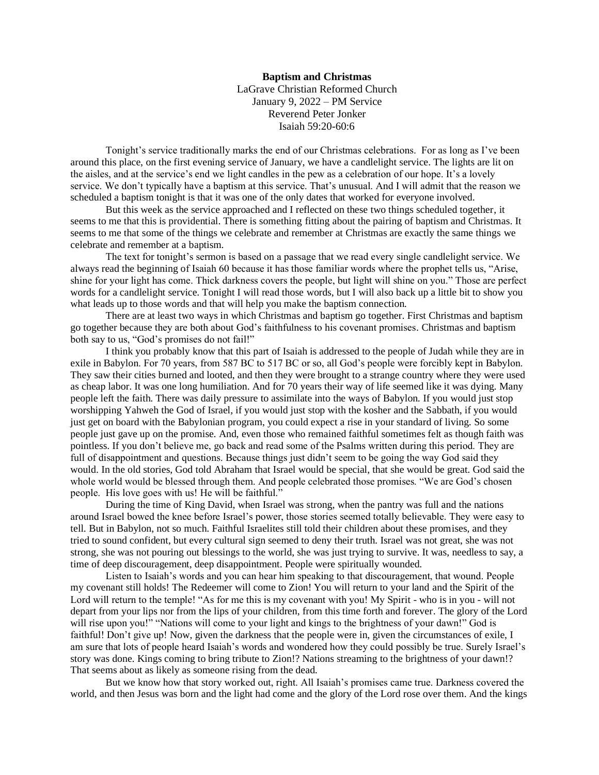## **Baptism and Christmas** LaGrave Christian Reformed Church January 9, 2022 – PM Service Reverend Peter Jonker Isaiah 59:20-60:6

Tonight's service traditionally marks the end of our Christmas celebrations. For as long as I've been around this place, on the first evening service of January, we have a candlelight service. The lights are lit on the aisles, and at the service's end we light candles in the pew as a celebration of our hope. It's a lovely service. We don't typically have a baptism at this service. That's unusual. And I will admit that the reason we scheduled a baptism tonight is that it was one of the only dates that worked for everyone involved.

But this week as the service approached and I reflected on these two things scheduled together, it seems to me that this is providential. There is something fitting about the pairing of baptism and Christmas. It seems to me that some of the things we celebrate and remember at Christmas are exactly the same things we celebrate and remember at a baptism.

The text for tonight's sermon is based on a passage that we read every single candlelight service. We always read the beginning of Isaiah 60 because it has those familiar words where the prophet tells us, "Arise, shine for your light has come. Thick darkness covers the people, but light will shine on you." Those are perfect words for a candlelight service. Tonight I will read those words, but I will also back up a little bit to show you what leads up to those words and that will help you make the baptism connection.

There are at least two ways in which Christmas and baptism go together. First Christmas and baptism go together because they are both about God's faithfulness to his covenant promises. Christmas and baptism both say to us, "God's promises do not fail!"

I think you probably know that this part of Isaiah is addressed to the people of Judah while they are in exile in Babylon. For 70 years, from 587 BC to 517 BC or so, all God's people were forcibly kept in Babylon. They saw their cities burned and looted, and then they were brought to a strange country where they were used as cheap labor. It was one long humiliation. And for 70 years their way of life seemed like it was dying. Many people left the faith. There was daily pressure to assimilate into the ways of Babylon. If you would just stop worshipping Yahweh the God of Israel, if you would just stop with the kosher and the Sabbath, if you would just get on board with the Babylonian program, you could expect a rise in your standard of living. So some people just gave up on the promise. And, even those who remained faithful sometimes felt as though faith was pointless. If you don't believe me, go back and read some of the Psalms written during this period. They are full of disappointment and questions. Because things just didn't seem to be going the way God said they would. In the old stories, God told Abraham that Israel would be special, that she would be great. God said the whole world would be blessed through them. And people celebrated those promises. "We are God's chosen people. His love goes with us! He will be faithful."

During the time of King David, when Israel was strong, when the pantry was full and the nations around Israel bowed the knee before Israel's power, those stories seemed totally believable. They were easy to tell. But in Babylon, not so much. Faithful Israelites still told their children about these promises, and they tried to sound confident, but every cultural sign seemed to deny their truth. Israel was not great, she was not strong, she was not pouring out blessings to the world, she was just trying to survive. It was, needless to say, a time of deep discouragement, deep disappointment. People were spiritually wounded.

Listen to Isaiah's words and you can hear him speaking to that discouragement, that wound. People my covenant still holds! The Redeemer will come to Zion! You will return to your land and the Spirit of the Lord will return to the temple! "As for me this is my covenant with you! My Spirit - who is in you - will not depart from your lips nor from the lips of your children, from this time forth and forever. The glory of the Lord will rise upon you!" "Nations will come to your light and kings to the brightness of your dawn!" God is faithful! Don't give up! Now, given the darkness that the people were in, given the circumstances of exile, I am sure that lots of people heard Isaiah's words and wondered how they could possibly be true. Surely Israel's story was done. Kings coming to bring tribute to Zion!? Nations streaming to the brightness of your dawn!? That seems about as likely as someone rising from the dead.

But we know how that story worked out, right. All Isaiah's promises came true. Darkness covered the world, and then Jesus was born and the light had come and the glory of the Lord rose over them. And the kings